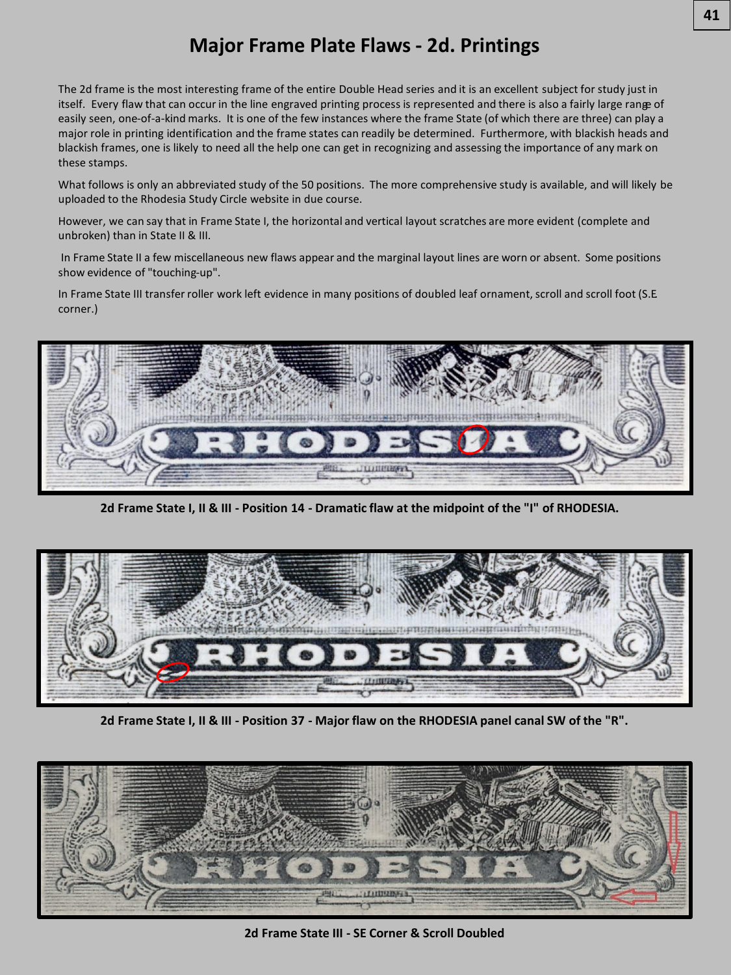# **Major Frame Plate Flaws - 2d. Printings**

The 2d frame is the most interesting frame of the entire Double Head series and it is an excellent subject for study just in itself. Every flaw that can occur in the line engraved printing process is represented and there is also a fairly large range of easily seen, one-of-a-kind marks. It is one of the few instances where the frame State (of which there are three) can play a major role in printing identification and the frame states can readily be determined. Furthermore, with blackish heads and blackish frames, one is likely to need all the help one can get in recognizing and assessing the importance of any mark on these stamps.

What follows is only an abbreviated study of the 50 positions. The more comprehensive study is available, and will likely be uploaded to the Rhodesia Study Circle website in due course.

However, we can say that in Frame State I, the horizontal and vertical layout scratches are more evident (complete and unbroken) than in State II & III.

In Frame State II a few miscellaneous new flaws appear and the marginal layout lines are worn or absent. Some positions show evidence of "touching-up".

In Frame State III transfer roller work left evidence in many positions of doubled leaf ornament, scroll and scroll foot (S.E. corner.)



**2d Frame State I, II & III - Position 14 - Dramatic flaw at the midpoint of the "I" of RHODESIA.**



**2d Frame State I, II & III - Position 37 - Major flaw on the RHODESIA panel canal SW of the "R".**



**2d Frame State III - SE Corner & Scroll Doubled**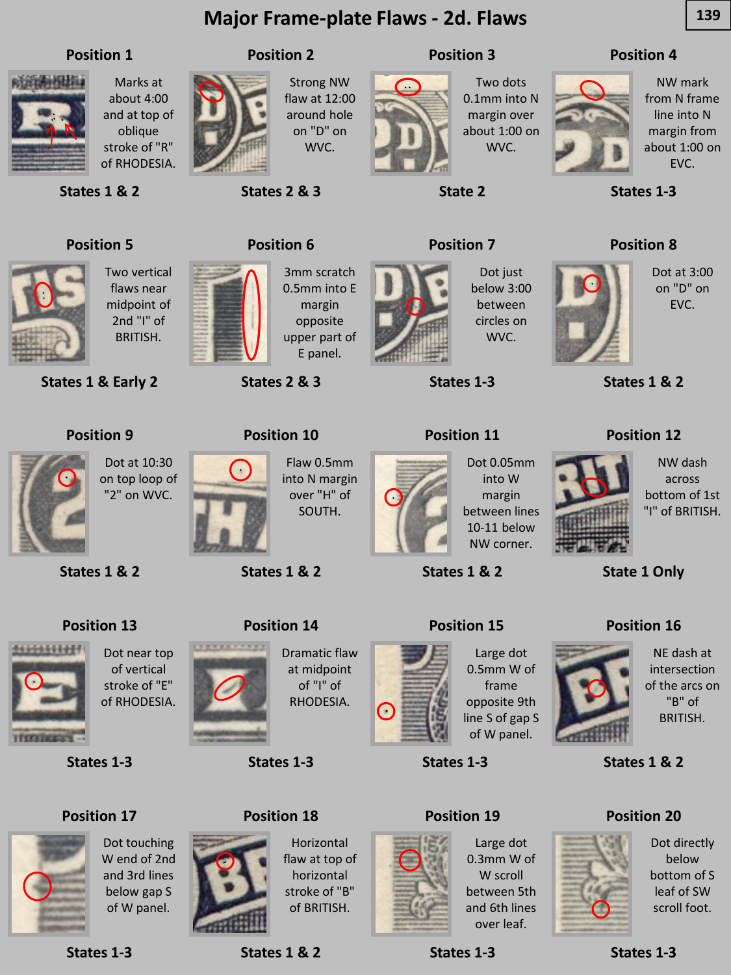# **Major Frame-plate Flaws - 2d. Flaws 139**

### **Position 1**



Marks at about 4:00 and at top of oblique stroke of "R" of RHODESIA.

**States 1 & 2**



Strong NW flaw at 12:00 around hole on "D" on WVC.

**Position 2**

**States 2 & 3**

**Position 6**



**Position 3**

**State 2**

**Position 7**

Two dots 0.1mm into N margin over about 1:00 on WVC.

### **Position 4**



NW mark from N frame line into N margin from about 1:00 on EVC.

**States 1-3**

**Position 8**



flaws near midpoint of 2nd "I" of BRITISH.

**States 1 & Early 2**

**Position 9**



3mm scratch 0.5mm into E margin opposite upper part of E panel.

**States 2 & 3**

**Position 10**

**States 1 & 2**



Dot just below 3:00 between circles on WVC.

**States 1-3**

**Position 11**



Dot 0.05mm into W margin 10-11 below NW corner.

**States 1 & 2**



NE dash at intersection of the arcs on "B" of BRITISH.

**States 1 & 2**

**Position 16**

**State 1 Only**





Dot directly below bottom of S leaf of SW scroll foot.



Dot at 3:00 on "D" on

EVC.

NW dash across bottom of 1st "I" of BRITISH.





**States 1 & 2**





444444

**States 1 & 2**

**Position 13**



SOUTH.

Flaw 0.5mm into N margin over "H" of



between lines

**Position 15**



0.5mm W of frame opposite 9th line S of gap S of W panel.



0.3mm W of W scroll between 5th and 6th lines over leaf.

**States 1-3**

**States 1-3**



**States 1-3**

### **Position 17**

**States 1-3**



**TERRITORY** 

Dot touching W end of 2nd and 3rd lines below gap S of W panel.



**Position 18**

Horizontal flaw at top of horizontal stroke of "B" of BRITISH.





Dramatic flaw at midpoint of "I" of RHODESIA.

**States 1-3**

Œ



Large dot

**States 1-3**

**Position 19**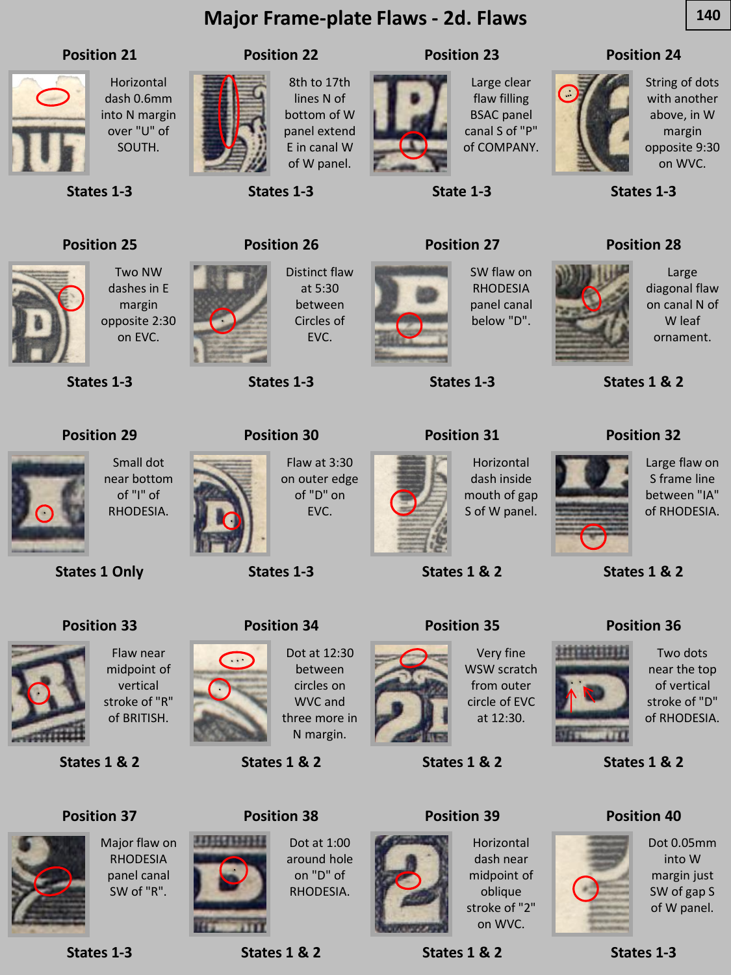# **Major Frame-plate Flaws - 2d. Flaws 140**

### **Position 21**



Horizontal dash 0.6mm into N margin over "U" of SOUTH.

8th to 17th lines N of bottom of W panel extend E in canal W of W panel.

**States 1-3**

**Position 22**

**Position 26**

### **Position 23**



flaw filling BSAC panel canal S of "P" of COMPANY.

### **Position 24**



String of dots with another above, in W margin opposite 9:30 on WVC.

Large diagonal flaw on canal N of W leaf ornament.

**States 1-3**

**Position 28**

# **Position 25**

**States 1-3**



dashes in E margin opposite 2:30 on EVC.

Two NW

**States 1-3**

**States 1 Only**

**Position 33**



Distinct flaw at 5:30 between Circles of EVC.

**States 1-3**



SW flaw on RHODESIA panel canal below "D".

**States 1-3**

**Position 27**

**State 1-3**

### **Position 31**



**States 1 & 2**



Two dots near the top of vertical stroke of "D" of RHODESIA.

**States 1 & 2**

### **Position 40**



Dot 0.05mm into W margin just SW of gap S of W panel.

**States 1-3**



Small dot near bottom of "I" of RHODESIA.

**Position 30**

Flaw at 3:30 on outer edge of "D" on EVC.

**States 1-3**



Horizontal dash inside mouth of gap S of W panel.



### **Position 39**



dash near midpoint of oblique stroke of "2" on WVC.

**States 1 & 2**

Large flaw on S frame line between "IA" of RHODESIA.

**States 1 & 2**

**Position 36**





from outer

**States 1 & 2**



Horizontal

Dot at 1:00 around hole on "D" of RHODESIA.



**States 1 & 2**

**Position 38**

**States 1 & 2**





circle of EVC at 12:30.



RHODESIA panel canal SW of "R".



**States 1-3**



vertical stroke of "R" of BRITISH.

,,,,,,,,,,,

**Position 34**

Dot at 12:30 between circles on WVC and three more in



**Position 35**

Very fine

WSW scratch





**Position 32**

**States 1 & 2**